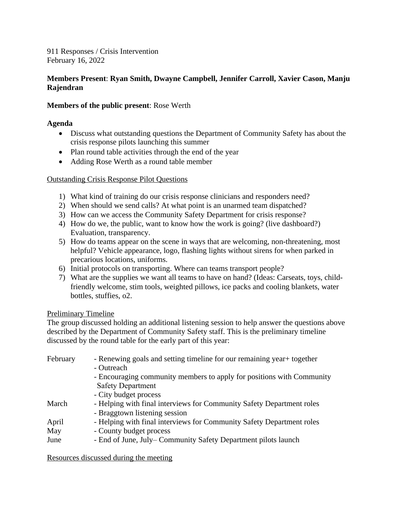911 Responses / Crisis Intervention February 16, 2022

# **Members Present**: **Ryan Smith, Dwayne Campbell, Jennifer Carroll, Xavier Cason, Manju Rajendran**

### **Members of the public present**: Rose Werth

### **Agenda**

- Discuss what outstanding questions the Department of Community Safety has about the crisis response pilots launching this summer
- Plan round table activities through the end of the year
- Adding Rose Werth as a round table member

# Outstanding Crisis Response Pilot Questions

- 1) What kind of training do our crisis response clinicians and responders need?
- 2) When should we send calls? At what point is an unarmed team dispatched?
- 3) How can we access the Community Safety Department for crisis response?
- 4) How do we, the public, want to know how the work is going? (live dashboard?) Evaluation, transparency.
- 5) How do teams appear on the scene in ways that are welcoming, non-threatening, most helpful? Vehicle appearance, logo, flashing lights without sirens for when parked in precarious locations, uniforms.
- 6) Initial protocols on transporting. Where can teams transport people?
- 7) What are the supplies we want all teams to have on hand? (Ideas: Carseats, toys, childfriendly welcome, stim tools, weighted pillows, ice packs and cooling blankets, water bottles, stuffies, o2.

# Preliminary Timeline

The group discussed holding an additional listening session to help answer the questions above described by the Department of Community Safety staff. This is the preliminary timeline discussed by the round table for the early part of this year:

| February | - Renewing goals and setting timeline for our remaining year + together |
|----------|-------------------------------------------------------------------------|
|          | - Outreach                                                              |
|          | - Encouraging community members to apply for positions with Community   |
|          | <b>Safety Department</b>                                                |
|          | - City budget process                                                   |
| March    | - Helping with final interviews for Community Safety Department roles   |
|          | - Braggtown listening session                                           |
| April    | - Helping with final interviews for Community Safety Department roles   |
| May      | - County budget process                                                 |
| June     | - End of June, July–Community Safety Department pilots launch           |

Resources discussed during the meeting